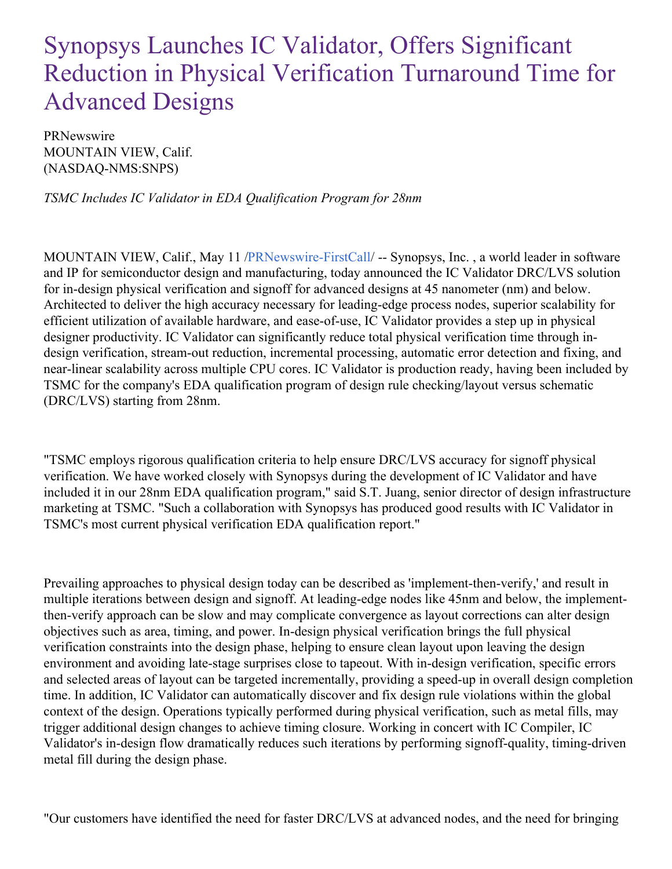## Synopsys Launches IC Validator, Offers Significant Reduction in Physical Verification Turnaround Time for Advanced Designs

PRNewswire MOUNTAIN VIEW, Calif. (NASDAQ-NMS:SNPS)

*TSMC Includes IC Validator in EDA Qualification Program for 28nm*

MOUNTAIN VIEW, Calif., May 11 [/PRNewswire-FirstCall](http://www.prnewswire.com/)/ -- Synopsys, Inc. , a world leader in software and IP for semiconductor design and manufacturing, today announced the IC Validator DRC/LVS solution for in-design physical verification and signoff for advanced designs at 45 nanometer (nm) and below. Architected to deliver the high accuracy necessary for leading-edge process nodes, superior scalability for efficient utilization of available hardware, and ease-of-use, IC Validator provides a step up in physical designer productivity. IC Validator can significantly reduce total physical verification time through indesign verification, stream-out reduction, incremental processing, automatic error detection and fixing, and near-linear scalability across multiple CPU cores. IC Validator is production ready, having been included by TSMC for the company's EDA qualification program of design rule checking/layout versus schematic (DRC/LVS) starting from 28nm.

"TSMC employs rigorous qualification criteria to help ensure DRC/LVS accuracy for signoff physical verification. We have worked closely with Synopsys during the development of IC Validator and have included it in our 28nm EDA qualification program," said S.T. Juang, senior director of design infrastructure marketing at TSMC. "Such a collaboration with Synopsys has produced good results with IC Validator in TSMC's most current physical verification EDA qualification report."

Prevailing approaches to physical design today can be described as 'implement-then-verify,' and result in multiple iterations between design and signoff. At leading-edge nodes like 45nm and below, the implementthen-verify approach can be slow and may complicate convergence as layout corrections can alter design objectives such as area, timing, and power. In-design physical verification brings the full physical verification constraints into the design phase, helping to ensure clean layout upon leaving the design environment and avoiding late-stage surprises close to tapeout. With in-design verification, specific errors and selected areas of layout can be targeted incrementally, providing a speed-up in overall design completion time. In addition, IC Validator can automatically discover and fix design rule violations within the global context of the design. Operations typically performed during physical verification, such as metal fills, may trigger additional design changes to achieve timing closure. Working in concert with IC Compiler, IC Validator's in-design flow dramatically reduces such iterations by performing signoff-quality, timing-driven metal fill during the design phase.